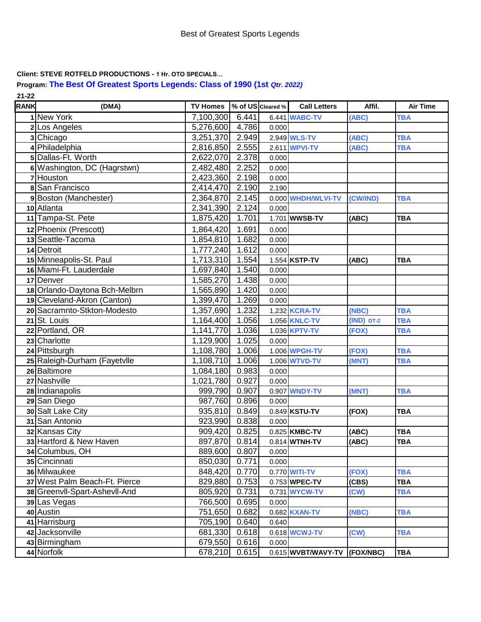**Client: STEVE ROTFELD PRODUCTIONS - 1 Hr. OTO SPECIALS…**

**Program: The Best Of Greatest Sports Legends: Class of 1990 (1st** *Qtr. 2022)* **21-22**

| <b>RANK</b> | (DMA)                         | TV Homes \% of US Cleared % |       |       | <b>Call Letters</b>          | Affil.         | <b>Air Time</b> |
|-------------|-------------------------------|-----------------------------|-------|-------|------------------------------|----------------|-----------------|
|             | 1 New York                    | 7,100,300                   | 6.441 |       | 6.441 <b>WABC-TV</b>         | (ABC)          | <b>TBA</b>      |
|             | 2 Los Angeles                 | 5,276,600 4.786             |       | 0.000 |                              |                |                 |
|             | 3 Chicago                     | 3,251,370                   | 2.949 |       | 2.949 <b>WLS-TV</b>          | (ABC)          | <b>TBA</b>      |
|             | 4 Philadelphia                | 2,816,850                   | 2.555 |       | 2.611 <b>WPVI-TV</b>         | (ABC)          | <b>TBA</b>      |
|             | 5 Dallas-Ft. Worth            | 2,622,070                   | 2.378 | 0.000 |                              |                |                 |
|             | 6 Washington, DC (Hagrstwn)   | 2,482,480                   | 2.252 | 0.000 |                              |                |                 |
|             | 7 Houston                     | 2,423,360                   | 2.198 | 0.000 |                              |                |                 |
|             | 8 San Francisco               | 2,414,470                   | 2.190 | 2.190 |                              |                |                 |
|             | 9 Boston (Manchester)         | 2,364,870                   | 2.145 |       | 0.000 WHDH/WLVI-TV           | (CW/IND)       | <b>TBA</b>      |
|             | 10 Atlanta                    | 2,341,390                   | 2.124 | 0.000 |                              |                |                 |
|             | 11 Tampa-St. Pete             | 1,875,420                   | 1.701 |       | 1.701 WWSB-TV                | (ABC)          | <b>TBA</b>      |
|             | 12 Phoenix (Prescott)         | 1,864,420                   | 1.691 | 0.000 |                              |                |                 |
|             | 13 Seattle-Tacoma             | 1,854,810                   | 1.682 | 0.000 |                              |                |                 |
|             | 14 Detroit                    | 1,777,240                   | 1.612 | 0.000 |                              |                |                 |
|             | 15 Minneapolis-St. Paul       | 1,713,310                   | 1.554 |       | 1.554 KSTP-TV                | (ABC)          | <b>TBA</b>      |
|             | 16 Miami-Ft. Lauderdale       | 1,697,840                   | 1.540 | 0.000 |                              |                |                 |
|             | 17 Denver                     | 1,585,270                   | 1.438 | 0.000 |                              |                |                 |
|             | 18 Orlando-Daytona Bch-Melbrn | 1,565,890                   | 1.420 | 0.000 |                              |                |                 |
|             | 19 Cleveland-Akron (Canton)   | 1,399,470                   | 1.269 | 0.000 |                              |                |                 |
|             | 20 Sacramnto-Stkton-Modesto   | 1,357,690                   | 1.232 |       | 1.232 <b>KCRA-TV</b>         | (NBC)          | <b>TBA</b>      |
|             | 21 St. Louis                  | 1,164,400                   | 1.056 |       | 1.056 KNLC-TV                | $(IND)$ $DT-2$ | <b>TBA</b>      |
|             | 22 Portland, OR               | 1,141,770                   | 1.036 |       | 1.036 <b>KPTV-TV</b>         | (FOX)          | <b>TBA</b>      |
|             | 23 Charlotte                  | 1,129,900                   | 1.025 | 0.000 |                              |                |                 |
|             | 24 Pittsburgh                 | 1,108,780                   | 1.006 |       | 1.006 WPGH-TV                | (FOX)          | <b>TBA</b>      |
|             | 25 Raleigh-Durham (Fayetvlle  | 1,108,710                   | 1.006 |       | 1.006 WTVD-TV                | (MNT)          | <b>TBA</b>      |
|             | 26 Baltimore                  | 1,084,180                   | 0.983 | 0.000 |                              |                |                 |
|             | 27 Nashville                  | 1,021,780                   | 0.927 | 0.000 |                              |                |                 |
|             | 28 Indianapolis               | 999,790                     | 0.907 |       | 0.907 WNDY-TV                | (MNT)          | <b>TBA</b>      |
|             | 29 San Diego                  | 987,760                     | 0.896 | 0.000 |                              |                |                 |
|             | 30 Salt Lake City             | 935,810                     | 0.849 |       | 0.849 KSTU-TV                | (FOX)          | <b>TBA</b>      |
|             | 31 San Antonio                | 923,990                     | 0.838 | 0.000 |                              |                |                 |
|             | 32 Kansas City                | 909,420                     | 0.825 |       | 0.825 KMBC-TV                | (ABC)          | <b>TBA</b>      |
|             | 33 Hartford & New Haven       | 897,870 0.814               |       |       | 0.814 WTNH-TV                | (ABC)          | <b>TBA</b>      |
|             | 34 Columbus, OH               | 889,600                     | 0.807 | 0.000 |                              |                |                 |
|             | 35 Cincinnati                 | 850,030                     | 0.771 | 0.000 |                              |                |                 |
|             | 36 Milwaukee                  | 848,420                     | 0.770 |       | 0.770 <b>WITI-TV</b>         | (FOX)          | <b>TBA</b>      |
|             | 37 West Palm Beach-Ft. Pierce | 829,880                     | 0.753 |       | 0.753 WPEC-TV                | (CBS)          | <b>TBA</b>      |
|             | 38 Greenvil-Spart-Ashevil-And | 805,920                     | 0.731 |       | 0.731 WYCW-TV                | (CW)           | <b>TBA</b>      |
|             | 39 Las Vegas                  | 766,500                     | 0.695 | 0.000 |                              |                |                 |
|             | 40 Austin                     | 751,650                     | 0.682 |       | 0.682 <b>KXAN-TV</b>         | (NBC)          | <b>TBA</b>      |
|             | 41 Harrisburg                 | 705,190                     | 0.640 | 0.640 |                              |                |                 |
|             | 42 Jacksonville               | 681,330                     | 0.618 |       | 0.618 WCWJ-TV                | (CW)           | <b>TBA</b>      |
|             | 43 Birmingham                 | 679,550                     | 0.616 | 0.000 |                              |                |                 |
|             | 44 Norfolk                    | 678,210                     | 0.615 |       | 0.615 WVBT/WAVY-TV (FOX/NBC) |                | <b>TBA</b>      |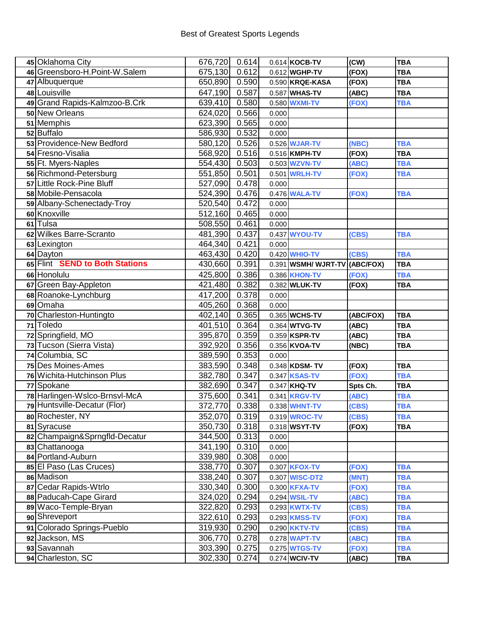| 45 Oklahoma City                 | 676,720 0.614      |                |       | 0.614 KOCB-TV                         | (CW)           | <b>TBA</b>               |
|----------------------------------|--------------------|----------------|-------|---------------------------------------|----------------|--------------------------|
| 46 Greensboro-H.Point-W.Salem    | 675,130 0.612      |                |       | 0.612 WGHP-TV                         | (FOX)          | <b>TBA</b>               |
| 47 Albuquerque                   | 650,890 0.590      |                |       | 0.590 KRQE-KASA                       | (FOX)          | <b>TBA</b>               |
| 48 Louisville                    | 647,190 0.587      |                |       | 0.587 WHAS-TV                         | (ABC)          | <b>TBA</b>               |
| 49 Grand Rapids-Kalmzoo-B.Crk    | 639,410 0.580      |                |       | 0.580 WXMI-TV                         | (FOX)          | <b>TBA</b>               |
| 50 New Orleans                   | 624,020 0.566      |                | 0.000 |                                       |                |                          |
| 51 Memphis                       | 623,390 0.565      |                | 0.000 |                                       |                |                          |
| 52 Buffalo                       | 586,930 0.532      |                | 0.000 |                                       |                |                          |
| 53 Providence-New Bedford        | 580,120 0.526      |                |       | 0.526 <b>WJAR-TV</b>                  | (NBC)          | <b>TBA</b>               |
| 54 Fresno-Visalia                | 568,920 0.516      |                |       | 0.516 KMPH-TV                         | (FOX)          | <b>TBA</b>               |
| 55 Ft. Myers-Naples              | 554,430 0.503      |                |       | 0.503 WZVN-TV                         | (ABC)          | <b>TBA</b>               |
| 56 Richmond-Petersburg           | 551,850 0.501      |                |       | 0.501 WRLH-TV                         | (FOX)          | <b>TBA</b>               |
| 57 Little Rock-Pine Bluff        | 527,090 0.478      |                | 0.000 |                                       |                |                          |
| 58 Mobile-Pensacola              | 524,390 0.476      |                |       | 0.476 <b>WALA-TV</b>                  | (FOX)          | <b>TBA</b>               |
| 59 Albany-Schenectady-Troy       | 520,540 0.472      |                | 0.000 |                                       |                |                          |
| 60 Knoxville                     | 512,160 0.465      |                | 0.000 |                                       |                |                          |
| 61 Tulsa                         | 508,550 0.461      |                | 0.000 |                                       |                |                          |
| 62 Wilkes Barre-Scranto          | 481,390 0.437      |                |       | 0.437 WYOU-TV                         | (CBS)          | <b>TBA</b>               |
| 63 Lexington                     | 464,340 0.421      |                | 0.000 |                                       |                |                          |
| 64 Dayton                        | 463,430 0.420      |                |       | 0.420 <b>WHIO-TV</b>                  | (CBS)          | <b>TBA</b>               |
| 65 Flint SEND to Both Stations   | 430,660 0.391      |                |       | 0.391 WSMH/ WJRT-TV (ABC/FOX)         |                | <b>TBA</b>               |
| 66 Honolulu                      | 425,800 0.386      |                |       | 0.386 KHON-TV                         | (FOX)          | <b>TBA</b>               |
| 67 Green Bay-Appleton            | 421,480 0.382      |                |       | 0.382 WLUK-TV                         | (FOX)          | <b>TBA</b>               |
| 68 Roanoke-Lynchburg             | 417,200 0.378      |                | 0.000 |                                       |                |                          |
| 69 Omaha                         | 405,260 0.368      |                | 0.000 |                                       |                |                          |
| 70 Charleston-Huntingto          | 402,140 0.365      |                |       | 0.365 WCHS-TV                         | (ABC/FOX)      | <b>TBA</b>               |
| 71 Toledo                        | 401,510 0.364      |                |       | 0.364 WTVG-TV                         | (ABC)          | <b>TBA</b>               |
| 72 Springfield, MO               | 395,870 0.359      |                |       | $0.359$ KSPR-TV                       | (ABC)          | <b>TBA</b>               |
| 73 Tucson (Sierra Vista)         | 392,920 0.356      |                |       | 0.356 KVOA-TV                         | (NBC)          | <b>TBA</b>               |
| 74 Columbia, SC                  | 389,590 0.353      |                | 0.000 |                                       |                |                          |
| 75 Des Moines-Ames               | 383,590 0.348      |                |       | 0.348 KDSM-TV                         | (FOX)          |                          |
|                                  |                    |                |       |                                       |                | <b>TBA</b>               |
| 76 Wichita-Hutchinson Plus       | 382,780 0.347      |                |       | 0.347 <b>KSAS-TV</b>                  | (FOX)          | <b>TBA</b>               |
| 77 Spokane                       | 382,690 0.347      |                |       | $0.347$ KHQ-TV                        | Spts Ch.       | <b>TBA</b>               |
| 78 Harlingen-Wslco-Brnsvl-McA    | 375,600 0.341      |                |       | 0.341 <b>KRGV-TV</b>                  | (ABC)          | <b>TBA</b>               |
| 79 Huntsville-Decatur (Flor)     | 372,770 0.338      |                |       | 0.338 WHNT-TV                         | (CBS)          | <b>TBA</b>               |
| 80 Rochester, NY                 | 352,070 0.319      |                |       | 0.319 <b>WROC-TV</b>                  | (CBS)          | <b>TBA</b>               |
| 81 Syracuse                      | 350,730 0.318      |                |       | 0.318 WSYT-TV                         | (FOX)          | <b>TBA</b>               |
| 82 Champaign&Sprngfld-Decatur    | 344,500 0.313      |                | 0.000 |                                       |                |                          |
| 83 Chattanooga                   | 341,190 0.310      |                | 0.000 |                                       |                |                          |
| 84 Portland-Auburn               | 339,980            | 0.308          | 0.000 |                                       |                |                          |
| 85 El Paso (Las Cruces)          | 338,770            | 0.307          |       | 0.307 <b>KFOX-TV</b>                  | (FOX)          | <b>TBA</b>               |
| 86 Madison                       | 338,240            | 0.307          |       | 0.307 WISC-DT2                        | (MNT)          | <b>TBA</b>               |
| 87 Cedar Rapids-Wtrlo            | 330,340            | 0.300          |       | 0.300 <b>KFXA-TV</b>                  | (FOX)          | <b>TBA</b>               |
| 88 Paducah-Cape Girard           | 324,020            | 0.294          |       | 0.294 <b>WSIL-TV</b>                  | (ABC)          | <b>TBA</b>               |
| 89 Waco-Temple-Bryan             | 322,820            | 0.293          |       | 0.293 <b>KWTX-TV</b>                  | (CBS)          | <b>TBA</b>               |
| 90 Shreveport                    | 322,610            | 0.293          |       | 0.293 KMSS-TV                         | (FOX)          | <b>TBA</b>               |
| 91 Colorado Springs-Pueblo       | 319,930            | 0.290          |       | 0.290 <b>KKTV-TV</b>                  | (CBS)          | <b>TBA</b>               |
| 92 Jackson, MS                   | 306,770            | 0.278          |       | 0.278 WAPT-TV                         | (ABC)          | <b>TBA</b>               |
| 93 Savannah<br>94 Charleston, SC | 303,390<br>302,330 | 0.275<br>0.274 |       | 0.275 <b>WTGS-TV</b><br>0.274 WCIV-TV | (FOX)<br>(ABC) | <b>TBA</b><br><b>TBA</b> |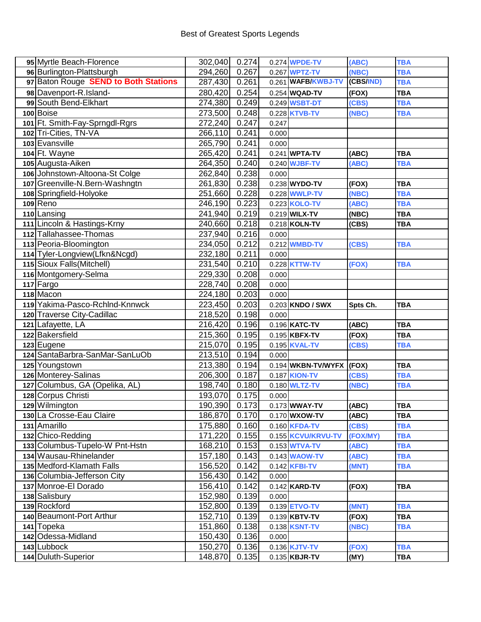| 95 Myrtle Beach-Florence             | 302,040 0.274 |       |       | 0.274 <b>WPDE-TV</b>       | (ABC)     | <b>TBA</b> |
|--------------------------------------|---------------|-------|-------|----------------------------|-----------|------------|
| 96 Burlington-Plattsburgh            | 294,260       | 0.267 |       | 0.267 WPTZ-TV              | (NBC)     | <b>TBA</b> |
| 97 Baton Rouge SEND to Both Stations | 287,430       | 0.261 |       | 0.261 WAFB/KWBJ-TV         | (CBS/IND) | <b>TBA</b> |
| 98 Davenport-R.Island-               | 280,420       | 0.254 |       | $0.254$ WQAD-TV            | (FOX)     | <b>TBA</b> |
| 99 South Bend-Elkhart                | 274,380       | 0.249 |       | 0.249 <b>WSBT-DT</b>       | (CBS)     | <b>TBA</b> |
| 100 Boise                            | 273,500       | 0.248 |       | 0.228 KTVB-TV              | (NBC)     | <b>TBA</b> |
| 101 Ft. Smith-Fay-Sprngdl-Rgrs       | 272,240       | 0.247 | 0.247 |                            |           |            |
| 102 Tri-Cities, TN-VA                | 266,110       | 0.241 | 0.000 |                            |           |            |
| 103 Evansville                       | 265,790       | 0.241 | 0.000 |                            |           |            |
| 104 Ft. Wayne                        | 265,420       | 0.241 |       | 0.241 WPTA-TV              | (ABC)     | <b>TBA</b> |
| 105 Augusta-Aiken                    | 264,350       | 0.240 |       | 0.240 WJBF-TV              | (ABC)     | <b>TBA</b> |
| 106 Johnstown-Altoona-St Colge       | 262,840       | 0.238 | 0.000 |                            |           |            |
| 107 Greenville-N.Bern-Washngtn       | 261,830       | 0.238 |       | 0.238 WYDO-TV              | (FOX)     | <b>TBA</b> |
| 108 Springfield-Holyoke              | 251,660       | 0.228 |       | 0.228 WWLP-TV              | (NBC)     | <b>TBA</b> |
| 109 Reno                             | 246,190       | 0.223 |       | 0.223 KOLO-TV              | (ABC)     | <b>TBA</b> |
| 110 Lansing                          | 241,940       | 0.219 |       | 0.219 WILX-TV              | (NBC)     | <b>TBA</b> |
| 111 Lincoln & Hastings-Krny          | 240,660       | 0.218 |       | 0.218 KOLN-TV              | (CBS)     | <b>TBA</b> |
| 112 Tallahassee-Thomas               | 237,940       | 0.216 | 0.000 |                            |           |            |
| 113 Peoria-Bloomington               | 234,050       | 0.212 |       | 0.212 WMBD-TV              | (CBS)     | <b>TBA</b> |
| 114 Tyler-Longview(Lfkn&Ncgd)        | 232,180       | 0.211 | 0.000 |                            |           |            |
| 115 Sioux Falls (Mitchell)           | 231,540       | 0.210 |       | 0.228 KTTW-TV              | (FOX)     | <b>TBA</b> |
| 116 Montgomery-Selma                 | 229,330       | 0.208 | 0.000 |                            |           |            |
| 117 Fargo                            | 228,740       | 0.208 | 0.000 |                            |           |            |
| 118 Macon                            | 224,180       | 0.203 | 0.000 |                            |           |            |
| 119 Yakima-Pasco-Rchind-Knnwck       | 223,450       | 0.203 |       | 0.203 KNDO / SWX           | Spts Ch.  | <b>TBA</b> |
| 120 Traverse City-Cadillac           | 218,520       | 0.198 | 0.000 |                            |           |            |
| 121 Lafayette, LA                    | 216,420       | 0.196 |       | 0.196 KATC-TV              | (ABC)     | <b>TBA</b> |
| 122 Bakersfield                      | 215,360       | 0.195 |       | 0.195 KBFX-TV              | (FOX)     | <b>TBA</b> |
| 123 Eugene                           | 215,070       | 0.195 |       | 0.195 KVAL-TV              | (CBS)     | <b>TBA</b> |
| 124 SantaBarbra-SanMar-SanLuOb       | 213,510       | 0.194 | 0.000 |                            |           |            |
| 125 Youngstown                       | 213,380       | 0.194 |       | $0.194$ WKBN-TV/WYFX (FOX) |           | <b>TBA</b> |
| 126 Monterey-Salinas                 | 206,300       | 0.187 |       | 0.187 <b>KION-TV</b>       | (CBS)     | <b>TBA</b> |
| 127 Columbus, GA (Opelika, AL)       | 198,740       | 0.180 |       | 0.180 <b>WLTZ-TV</b>       | (NBC)     | <b>TBA</b> |
| 128 Corpus Christi                   | 193,070       | 0.175 | 0.000 |                            |           |            |
| 129 Wilmington                       | 190,390       | 0.173 |       | 0.173 WWAY-TV              | (ABC)     | <b>TBA</b> |
| 130 La Crosse-Eau Claire             | 186,870       | 0.170 |       | 0.170 WXOW-TV              | (ABC)     | <b>TBA</b> |
| 131 Amarillo                         | 175,880       | 0.160 |       | 0.160 <b>KFDA-TV</b>       | (CBS)     | <b>TBA</b> |
| 132 Chico-Redding                    | 171,220       | 0.155 |       | 0.155 KCVU/KRVU-TV         | (FOX/MY)  | <b>TBA</b> |
| 133 Columbus-Tupelo-W Pnt-Hstn       | 168,210       | 0.153 |       | 0.153 <b>WTVA-TV</b>       | (ABC)     | <b>TBA</b> |
| 134 Wausau-Rhinelander               | 157,180       | 0.143 |       | 0.143 <b>WAOW-TV</b>       | (ABC)     | <b>TBA</b> |
| 135 Medford-Klamath Falls            | 156,520       | 0.142 |       | 0.142 <b>KFBI-TV</b>       | (MNT)     | <b>TBA</b> |
| 136 Columbia-Jefferson City          | 156,430       | 0.142 | 0.000 |                            |           |            |
| 137 Monroe-El Dorado                 | 156,410       | 0.142 |       | $0.142$ KARD-TV            | (FOX)     | <b>TBA</b> |
| 138 Salisbury                        | 152,980       | 0.139 | 0.000 |                            |           |            |
| 139 Rockford                         | 152,800       | 0.139 |       | 0.139 ETVO-TV              | (MNT)     | <b>TBA</b> |
| 140 Beaumont-Port Arthur             | 152,710       | 0.139 |       | 0.139 KBTV-TV              | (FOX)     | <b>TBA</b> |
| 141 Topeka                           | 151,860       | 0.138 |       | 0.138 <b>KSNT-TV</b>       | (NBC)     | <b>TBA</b> |
| 142 Odessa-Midland                   | 150,430       | 0.136 | 0.000 |                            |           |            |
| 143 Lubbock                          | 150,270       | 0.136 |       | 0.136 <b>KJTV-TV</b>       | (FOX)     | <b>TBA</b> |
| 144 Duluth-Superior                  | 148,870       | 0.135 |       | 0.135 KBJR-TV              | (MY)      | <b>TBA</b> |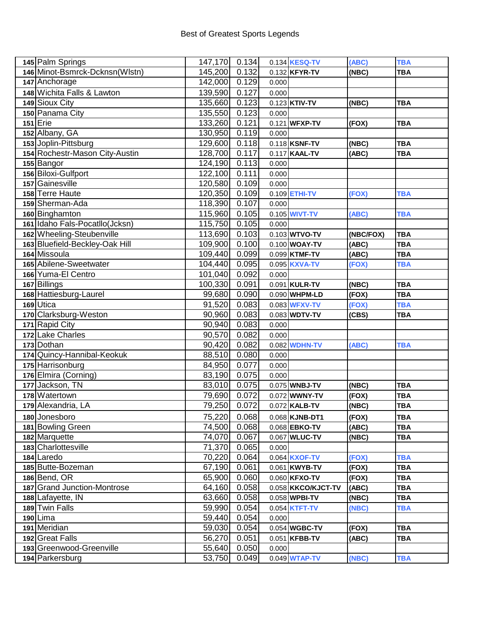| 145 Palm Springs               | 147,170      | 0.134 |       | 0.134 KESQ-TV        | (ABC)     | <b>TBA</b> |
|--------------------------------|--------------|-------|-------|----------------------|-----------|------------|
| 146 Minot-Bsmrck-Dcknsn(Wlstn) | 145,200      | 0.132 |       | 0.132 KFYR-TV        | (NBC)     | <b>TBA</b> |
| 147 Anchorage                  | 142,000      | 0.129 | 0.000 |                      |           |            |
| 148 Wichita Falls & Lawton     | 139,590      | 0.127 | 0.000 |                      |           |            |
| 149 Sioux City                 | 135,660      | 0.123 |       | 0.123 KTIV-TV        | (NBC)     | <b>TBA</b> |
| 150 Panama City                | 135,550      | 0.123 | 0.000 |                      |           |            |
| $151$ Erie                     | 133,260      | 0.121 |       | 0.121 WFXP-TV        | (FOX)     | <b>TBA</b> |
| 152 Albany, GA                 | 130,950      | 0.119 | 0.000 |                      |           |            |
| 153 Joplin-Pittsburg           | 129,600      | 0.118 |       | 0.118 KSNF-TV        | (NBC)     | <b>TBA</b> |
| 154 Rochestr-Mason City-Austin | 128,700      | 0.117 |       | 0.117 KAAL-TV        | (ABC)     | <b>TBA</b> |
| 155 Bangor                     | 124,190      | 0.113 | 0.000 |                      |           |            |
| 156 Biloxi-Gulfport            | 122,100      | 0.111 | 0.000 |                      |           |            |
| 157 Gainesville                | 120,580      | 0.109 | 0.000 |                      |           |            |
| 158 Terre Haute                | 120,350      | 0.109 |       | 0.109 ETHI-TV        | (FOX)     | <b>TBA</b> |
| 159 Sherman-Ada                | 118,390      | 0.107 | 0.000 |                      |           |            |
| 160 Binghamton                 | 115,960      | 0.105 |       | 0.105 <b>WIVT-TV</b> | (ABC)     | <b>TBA</b> |
| 161 Idaho Fals-Pocatllo(Jcksn) | 115,750      | 0.105 | 0.000 |                      |           |            |
| 162 Wheeling-Steubenville      | 113,690      | 0.103 |       | 0.103 WTVO-TV        | (NBC/FOX) | <b>TBA</b> |
| 163 Bluefield-Beckley-Oak Hill | 109,900      | 0.100 |       | 0.100 WOAY-TV        | (ABC)     | <b>TBA</b> |
| 164 Missoula                   | 109,440      | 0.099 |       | 0.099 KTMF-TV        | (ABC)     | <b>TBA</b> |
| 165 Abilene-Sweetwater         | 104,440      | 0.095 |       | 0.095 KXVA-TV        | (FOX)     | <b>TBA</b> |
| 166 Yuma-El Centro             | 101,040      | 0.092 | 0.000 |                      |           |            |
| 167 Billings                   | 100,330      | 0.091 |       | 0.091 KULR-TV        | (NBC)     | <b>TBA</b> |
| 168 Hattiesburg-Laurel         | 99,680       | 0.090 |       | 0.090 WHPM-LD        | (FOX)     | <b>TBA</b> |
| 169 Utica                      | 91,520       | 0.083 |       | 0.083 <b>WFXV-TV</b> | (FOX)     | <b>TBA</b> |
| 170 Clarksburg-Weston          | 90,960       | 0.083 |       | 0.083 WDTV-TV        | (CBS)     | <b>TBA</b> |
| 171 Rapid City                 | 90,940       | 0.083 | 0.000 |                      |           |            |
| 172 Lake Charles               | 90,570       | 0.082 | 0.000 |                      |           |            |
| 173 Dothan                     | 90,420       | 0.082 |       | 0.082 WDHN-TV        | (ABC)     | <b>TBA</b> |
| 174 Quincy-Hannibal-Keokuk     | 88,510       | 0.080 | 0.000 |                      |           |            |
| 175 Harrisonburg               | 84,950       | 0.077 | 0.000 |                      |           |            |
| 176 Elmira (Corning)           | 83,190       | 0.075 | 0.000 |                      |           |            |
| 177 Jackson, TN                | 83,010       | 0.075 |       | 0.075 WNBJ-TV        | (NEC)     | <b>TBA</b> |
| 178 Watertown                  | 79,690       | 0.072 |       | 0.072 WWNY-TV        | (FOX)     | <b>TBA</b> |
| 179 Alexandria, LA             | 79,250 0.072 |       |       | 0.072 KALB-TV        | (NBC)     | <b>TBA</b> |
| 180 Jonesboro                  | 75,220       | 0.068 |       | 0.068 KJNB-DT1       | (FOX)     | <b>TBA</b> |
| 181 Bowling Green              | 74,500       | 0.068 |       | 0.068 EBKO-TV        | (ABC)     | <b>TBA</b> |
| 182 Marquette                  | 74,070       | 0.067 |       | 0.067 WLUC-TV        | (NBC)     | <b>TBA</b> |
| 183 Charlottesville            | 71,370       | 0.065 | 0.000 |                      |           |            |
| 184 Laredo                     | 70,220       | 0.064 |       | 0.064 KXOF-TV        | (FOX)     | <b>TBA</b> |
| 185 Butte-Bozeman              | 67,190       | 0.061 |       | 0.061 KWYB-TV        | (FOX)     | <b>TBA</b> |
| 186 Bend, OR                   | 65,900       | 0.060 |       | 0.060 KFXO-TV        | (FOX)     | <b>TBA</b> |
| 187 Grand Junction-Montrose    | 64,160       | 0.058 |       | 0.058 KKCO/KJCT-TV   | (ABC)     | <b>TBA</b> |
| 188 Lafayette, IN              | 63,660       | 0.058 |       | 0.058 WPBI-TV        | (NBC)     | <b>TBA</b> |
| 189 Twin Falls                 | 59,990       | 0.054 |       | 0.054 KTFT-TV        | (NBC)     | <b>TBA</b> |
| 190 Lima                       | 59,440       | 0.054 | 0.000 |                      |           |            |
| 191 Meridian                   | 59,030       | 0.054 |       | 0.054 WGBC-TV        | (FOX)     | <b>TBA</b> |
| 192 Great Falls                | 56,270       | 0.051 |       | 0.051 KFBB-TV        | (ABC)     | <b>TBA</b> |
| 193 Greenwood-Greenville       | 55,640       | 0.050 | 0.000 |                      |           |            |
| 194 Parkersburg                | 53,750       | 0.049 |       | 0.049 <b>WTAP-TV</b> | (NBC)     | <b>TBA</b> |